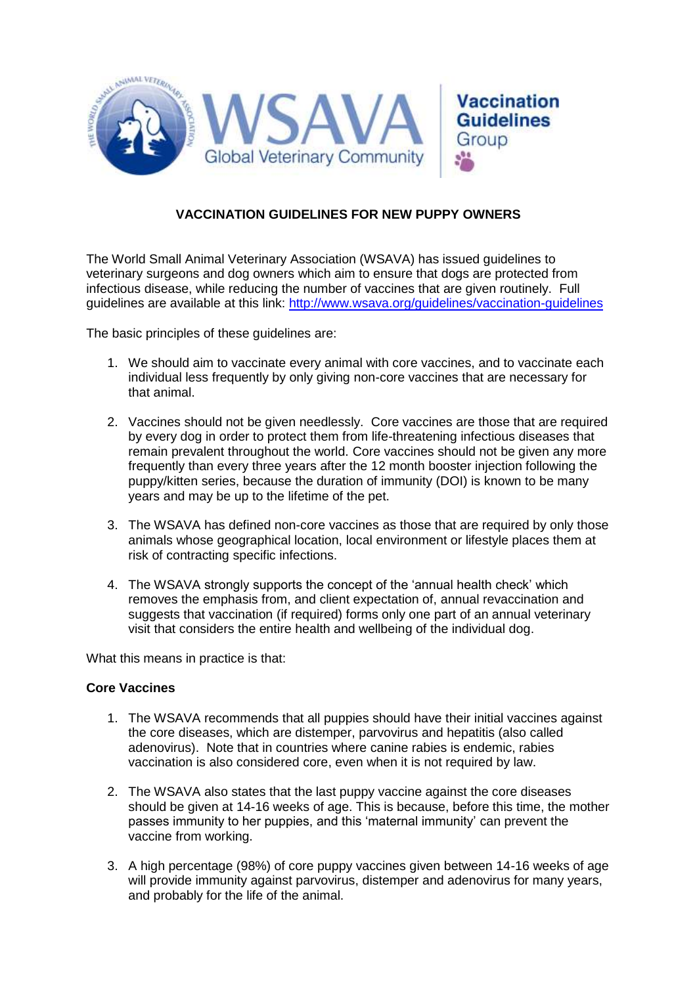

## **VACCINATION GUIDELINES FOR NEW PUPPY OWNERS**

The World Small Animal Veterinary Association (WSAVA) has issued guidelines to veterinary surgeons and dog owners which aim to ensure that dogs are protected from infectious disease, while reducing the number of vaccines that are given routinely. Full guidelines are available at this link:<http://www.wsava.org/guidelines/vaccination-guidelines>

The basic principles of these guidelines are:

- 1. We should aim to vaccinate every animal with core vaccines, and to vaccinate each individual less frequently by only giving non-core vaccines that are necessary for that animal.
- 2. Vaccines should not be given needlessly. Core vaccines are those that are required by every dog in order to protect them from life-threatening infectious diseases that remain prevalent throughout the world. Core vaccines should not be given any more frequently than every three years after the 12 month booster injection following the puppy/kitten series, because the duration of immunity (DOI) is known to be many years and may be up to the lifetime of the pet.
- 3. The WSAVA has defined non-core vaccines as those that are required by only those animals whose geographical location, local environment or lifestyle places them at risk of contracting specific infections.
- 4. The WSAVA strongly supports the concept of the 'annual health check' which removes the emphasis from, and client expectation of, annual revaccination and suggests that vaccination (if required) forms only one part of an annual veterinary visit that considers the entire health and wellbeing of the individual dog.

What this means in practice is that:

#### **Core Vaccines**

- 1. The WSAVA recommends that all puppies should have their initial vaccines against the core diseases, which are distemper, parvovirus and hepatitis (also called adenovirus). Note that in countries where canine rabies is endemic, rabies vaccination is also considered core, even when it is not required by law.
- 2. The WSAVA also states that the last puppy vaccine against the core diseases should be given at 14-16 weeks of age. This is because, before this time, the mother passes immunity to her puppies, and this 'maternal immunity' can prevent the vaccine from working.
- 3. A high percentage (98%) of core puppy vaccines given between 14-16 weeks of age will provide immunity against parvovirus, distemper and adenovirus for many years, and probably for the life of the animal.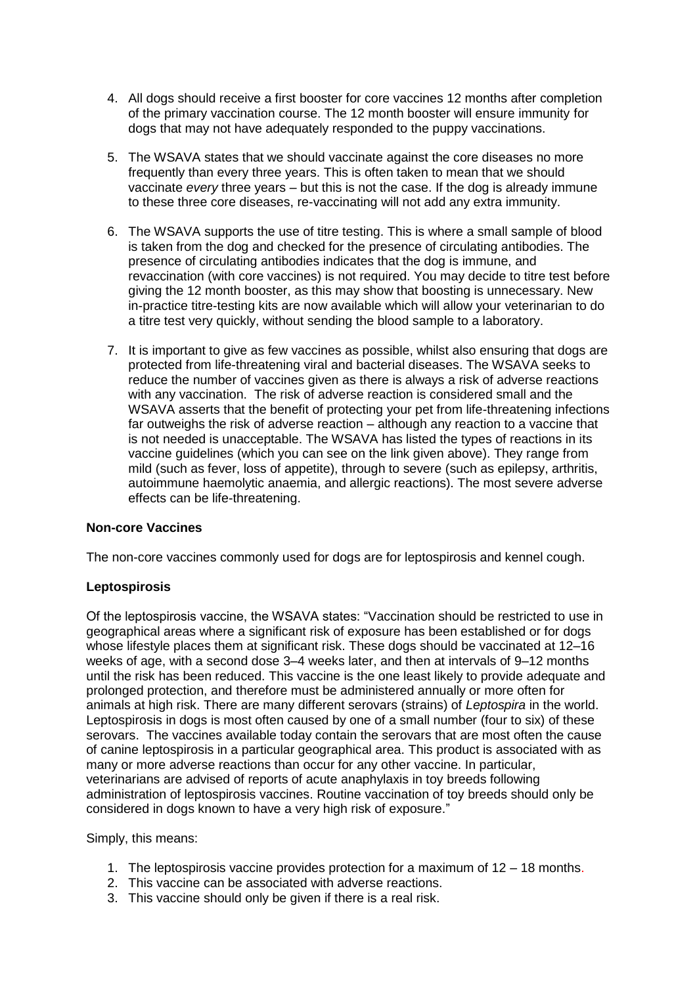- 4. All dogs should receive a first booster for core vaccines 12 months after completion of the primary vaccination course. The 12 month booster will ensure immunity for dogs that may not have adequately responded to the puppy vaccinations.
- 5. The WSAVA states that we should vaccinate against the core diseases no more frequently than every three years. This is often taken to mean that we should vaccinate *every* three years – but this is not the case. If the dog is already immune to these three core diseases, re-vaccinating will not add any extra immunity.
- 6. The WSAVA supports the use of titre testing. This is where a small sample of blood is taken from the dog and checked for the presence of circulating antibodies. The presence of circulating antibodies indicates that the dog is immune, and revaccination (with core vaccines) is not required. You may decide to titre test before giving the 12 month booster, as this may show that boosting is unnecessary. New in-practice titre-testing kits are now available which will allow your veterinarian to do a titre test very quickly, without sending the blood sample to a laboratory.
- 7. It is important to give as few vaccines as possible, whilst also ensuring that dogs are protected from life-threatening viral and bacterial diseases. The WSAVA seeks to reduce the number of vaccines given as there is always a risk of adverse reactions with any vaccination. The risk of adverse reaction is considered small and the WSAVA asserts that the benefit of protecting your pet from life-threatening infections far outweighs the risk of adverse reaction – although any reaction to a vaccine that is not needed is unacceptable. The WSAVA has listed the types of reactions in its vaccine guidelines (which you can see on the link given above). They range from mild (such as fever, loss of appetite), through to severe (such as epilepsy, arthritis, autoimmune haemolytic anaemia, and allergic reactions). The most severe adverse effects can be life-threatening.

### **Non-core Vaccines**

The non-core vaccines commonly used for dogs are for leptospirosis and kennel cough.

### **Leptospirosis**

Of the leptospirosis vaccine, the WSAVA states: "Vaccination should be restricted to use in geographical areas where a significant risk of exposure has been established or for dogs whose lifestyle places them at significant risk. These dogs should be vaccinated at 12–16 weeks of age, with a second dose 3–4 weeks later, and then at intervals of 9–12 months until the risk has been reduced. This vaccine is the one least likely to provide adequate and prolonged protection, and therefore must be administered annually or more often for animals at high risk. There are many different serovars (strains) of *Leptospira* in the world. Leptospirosis in dogs is most often caused by one of a small number (four to six) of these serovars. The vaccines available today contain the serovars that are most often the cause of canine leptospirosis in a particular geographical area. This product is associated with as many or more adverse reactions than occur for any other vaccine. In particular, veterinarians are advised of reports of acute anaphylaxis in toy breeds following administration of leptospirosis vaccines. Routine vaccination of toy breeds should only be considered in dogs known to have a very high risk of exposure."

Simply, this means:

- 1. The leptospirosis vaccine provides protection for a maximum of 12 18 months.
- 2. This vaccine can be associated with adverse reactions.
- 3. This vaccine should only be given if there is a real risk.